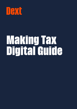

# **Making Tax Digital Guide**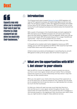# **TAXE**

11

**Capacity may only allow you to complete their end of year tax returns to a high standard but not delve too much into their businesses."**

#### $\bigcap_{n=1}^{\infty}$ **Introduction**

.

The UK government's plan to expand [Making Tax Digital](https://www.gov.uk/government/publications/making-tax-digital/overview-of-making-tax-digital) (MTD) legislation will mean all VAT registered businesses will need to keep digital records from April 2022. This will apply to roughly 1.1 million VAT registered businesses with taxable turnover below the VAT threshold. Beyond this, MTD will expand further to cover Income Tax for self-employed businesses and landlords above the threshold from April 2024.

With a quarter of businesses in this threshold already voluntarily registered for MTD, that leaves around 750,000 businesses who will need to start thinking about how they tackle the obligation of this new legislation. While many may see this as an extra hassle, MTD will actually bring your firm a range of benefits and opportunities – which can also be passed onto your clients.

It's just a matter of how you position it to team members within your firm.

In this guide we've compiled useful tactics designed to improve your MTD strategy, and now with final regulations for MTD for ITSA moved from April 2023 to April 2024, there's more time to perfect your plan.

At Dext we back accountants and bookkeepers in everything they do, and with MTD geared to shake up the tax space, Dext will be there to support you.

#### **What are the opportunities with MTD?**  $\mathscr{S}$ **1. Get closer to your clients**

With the MTD for Income Tax legislation moving to quarterly tax returns, you'll be in much more regular contact with your clients. This is a fantastic opportunity to grow your current relationships and help clients in ways that may have not been possible before.

When you only speak to your clients when they drop all their paperwork on you at the same time, you become pressed for time. Capacity may only allow you to complete their end of year tax returns to a high standard but not delve too much into their businesses.

It's likely your clients will need more year-round help than they let on. And now that you're in more regular contact throughout the year, those opportunities will reveal themselves. This could be help with a mortgage on a new business property or the upgrading of their ecommerce tech stack. Either way, you might be able to charge for these additional services.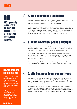## IAXI

li 1 **MTD's quarterly nature means the peaks and troughs of your workflows will become much more stable."** 

#### **How to grab the benefits of MTD**

 $\sqrt{4}$ 

Getting your firm MTD ready now will help your firm to grab all of the benefits – and remove the headaches of a last minute rush to keep up.

To help, we've put together a guide covering the three key steps you need to follow to prepare your firm for [MTD](https://dext.com/uk/dext-hub/3-steps-preparing-your-firm-for-mtd).

**[Read it here.](https://info.receipt-bank.com/consultation)**



Having a once a year rush to work on your clients' paperwork might only allow you to raise one invoice for the work carried out. With the move to quarterly work, you may be able to invoice on that quarterly basis too.

As you'll be aware, this gives your firm a more regular cash flow from your clients and will allow you to plan your own business operations accordingly. In the same way you help your own clients to forecast their business for growth opportunities and cash flow management, the regular income from completing quarterly tax returns will make this easier to do at your own firm too.

### **3. Avoid workflow peaks & troughs**

You'll be no stranger to the mad rush of tax season when clients bring you all their paperwork – and if you're lucky you won't have to chase any missing documents – which spike your workloads at the same time every year.

MTD's quarterly nature means the peaks and troughs of your workflows will become much more stable. This gives you the opportunity to focus more on additional services which you can bill for and, ultimately, use to help your clients achieve their goals.

Steadier work might also increase the wellbeing of your team members, as they'll be saved from the usual mad rush in January that can result in long hours and immense pressure.

### **4. Win business from competitors**

Getting ahead on these opportunities will help establish your firm as experts in understanding MTD, and what benefits digitalisation will have for your clients. It may even put your firm in a strong position to win clients from less proactive accountants & bookkeepers.

People in the business world talk. Establishing your firm as the knowledge holders of MTD by implementing best practices now will have your clients singing your praises to their peers. And if the firms their peers work with aren't as advanced as you, you might just find a higher demand for your services.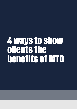# **4 ways to show clients the benefits of MTD**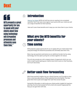# UAXE

i film

**MTD presents a great opportunity for you to speak with your clients about how using technology will streamline processes and ultimately save them time."**

### **Introduction**

[Making Tax Digital](https://www.gov.uk/government/publications/making-tax-digital/overview-of-making-tax-digital) (MTD) will shift tax returns needing to be completed quarterly. You'll now have more regular touch points with your clients as well as a range of benefits for their business.

Here we'll cover those benefits and 4 ways you can show them to your clients.

### **What are the MTD benefits for your clients? Time saving**

MTD presents a great opportunity for you to speak with your clients about how using technology will streamline processes and ultimately save them time.

Many may see quarterly submissions as an additional burden but by using technology, the time spent pulling the numbers together will reduce.

This will also provide you with a steady stream of paperwork which you can work on each quarter, giving your clients more time to work on their business, and much less stress.



### **Better cash flow forecasting**

With those quarterly insights into your clients finances, you'll be able to show them a more accurate picture of their potential future tax liability. This then gives them time to plan and budget their cash flow across the year.

Having this information is vital to give your clients earlier insights for long-term planning. You'd be hard pressed to find a client who wouldn't appreciate the help you can give them with that.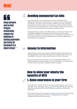## IAXI

11 **Using software such as [Dext](https://dext.com/uk/accountants-and-bookkeepers/prepare)  [Prepare](https://dext.com/uk/accountants-and-bookkeepers/prepare)  dramatically reduces the likelihood of missing paperwork and stores all documents in a digital format."** 

### **Avoiding unexpected tax bills**

As you'll be aware, in its current state, your clients will drop all their paperwork off relating to the previous tax in January and then are advised of the liability in the same month in which any liability due is paid. By leaving the completion of the tax return until January, your clients could be with tax bills which they're not prepared for. This is through no fault of your own but a reason to encourage clients to provide their information earlier.

Having quarterly tax returns under MTD means your clients won't be hit with potentially unexpected tax bills that they have to pay by the due date to prevent any penalties or interest being incurred. Instead, they can plan for this by putting a set amount of money aside per month, ultimately helping with overall cash flow management.

### **Access to information**

Using software such as [Dext Prepare d](https://dext.com/uk/accountants-and-bookkeepers/prepare)ramatically reduces the likelihood of missing paperwork and stores all documents in a digital format which can be downloaded as required – giving instant access to historic information.

Should your clients face a tax enquiry, all of the paperwork needed will be readily available for a swift solution. On top of that, there are no storage costs for either of you to pay and no additional space is needed.

#### **How to show your clients the benefits of MTD**



∕W

### **1. Raise awareness in your firm**

To get the buy-in of your clients, you're going to need everyone in your firm to be bought in too. This means [having a plan](https://dext.com/uk/dext-hub/3-steps-preparing-your-firm-for-mtd) which they can follow so internally, everyone understands MTD and can handle any objections which clients might have.

Show team members the [advantages that MTD can bring](https://dext.com/uk/dext-hub/showing-your-firm-opportunities-of-mtd) to both their working lives and the overall success of the firm. A big positive will be steadier workflows which help to reduce stress.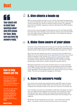## UAXE

#### FF **Your clients will no doubt have questions about what MTD means for them. Make sure you have the answers ready. "**

#### **How to help clients get the**

The more you can show your clients how proactive you're being with MTD, the more they'll see the benefits of working with your firm.

To help you get ahead with your planning, we've put together a [guide covering the](https://dext.com/uk/dext-hub/3-steps-preparing-your-firm-for-mtd)  [three key steps you](https://dext.com/uk/dext-hub/3-steps-preparing-your-firm-for-mtd)  [need to follow to](https://dext.com/uk/dext-hub/3-steps-preparing-your-firm-for-mtd)  [prepare your firm for](https://dext.com/uk/dext-hub/3-steps-preparing-your-firm-for-mtd)  [MTD.](https://dext.com/uk/dext-hub/3-steps-preparing-your-firm-for-mtd)

**[Read it here.](https://info.receipt-bank.com/consultation)**

### **2. Give clients a heads up**

MTD is coming, whether we like it or not. It will be enshrined into government law and all businesses will need to follow the rules. Don't leave it until the last minute to educate your clients on what this means for them. You definitely don't want a competitor ringing your clients to talk about their MTD solutions before you do.

If you're still in the early stages of planning how your firm will deal with MTD, be honest about that. Getting in touch with your clients now to tell them MTD is on your radar and you're looking for solutions is much better than leaving them completely in the dark.

### **3. Make them aware of your plans**

Of course, if you do have plans set for how your firm will deal with MTD, make all of your clients aware as soon as possible. You want them to know that you'll take the burden of pain away from them and feel that you've got it all in hand.

Show them the new software you plan to use and how this will affect them. Ideally, you'll find a solution which works seamlessly with both of your current setups so adoption is key. Choose [data collection software](https://dext.com/uk/accountants-and-bookkeepers/prepare) which works around your clients' workflows, allowing them to snap receipts on the go and submit invoices without having to think about it. That way you'll have everything you need when it comes to filing their quarterly returns.

Raising the awareness of your plans should be done on as many channels as possible. This way you'll give current and prospective clients full visibility of your MTD strategy. Have team members pick up the phone, put it in your client newsletters, email prospects about your plans and put it on your social media. The more you can get the message out, the better.

#### $\sqrt{\frac{1}{2}}$ **4. Have the answers ready**

Your clients will no doubt have questions about what MTD means for them. Make sure you have the answers ready. This could be from how you plan to charge for the increased number of tax returns or what your firm's plans are.

If, for example, your prices are increasing to offset the more regular tax return work, you might well face objections from clients. This is where you should role play with your team members. Arm them with the answers they need to be able to show clients the benefits of MTD rather than focussing on the negatives.

Remember, the more positives you can show – such as the ones outlined above – the easier it will be to show the value of your firm's services.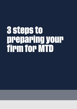# **3 steps to preparing your firm for MTD**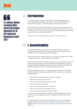## UAXE

66 **It's coming. [Making](https://www.gov.uk/government/publications/making-tax-digital/overview-of-making-tax-digital)  [Tax Digital](https://www.gov.uk/government/publications/making-tax-digital/overview-of-making-tax-digital) (MTD) will be fully fledged legislation for all** 

**VAT registered businesses in April 2022."**

### **Introduction**

It's coming. [Making Tax Digital](https://www.gov.uk/government/publications/making-tax-digital/overview-of-making-tax-digital) (MTD) will be fully fledged legislation for all VAT registered businesses in April 2022 – and from April 2024 MTD for Income Tax will apply to all self-employed businesses and landlords.

Now is the time to work out best practice and set up the processes your firm will need to embrace this change. Giving yourself that time to plan now is vital to prepare your firm, [show clients the benefits](https://dext.com/uk/dext-hub/4-ways-show-clients-benefits-mtd) and ensure they're not poached by any rival firms who are more proactive.

To help, here are the three key steps to prepare your firm for MTD:

### **1. Accountability**

Any well intentioned project will fall to the wayside if there isn't someone accountable for its success. So it's really important that you identify a team member in your firm to champion the MTD strategy.

This could be a senior member of the firm or a more experienced team member – it might even be you! – each brings their own benefits.

A senior member of the firm would be a strong choice as their seniority may just be the ticket to getting buy-in for the wider business. Alternatively, choosing an experienced team member shows them that you value their knowledge and insights, giving them a sense of empowerment towards the task.

Whichever direction you go in, you need to set your champion off in the right direction. The following are key questions for them to answer when putting a strategy together:

- **•** What systems and processes do we need to change?
- **•** What new technology will we need?
- **•** How will this stretch capacity and resources?
- **•** How many clients are affected?
- **•** How will we price services in line with MTD?
- **•** What time frame will we accomplish this in?
- **•** How will we liaise and educate clients on MTD?

This isn't an exhausting list by any means but answering these questions will help you to form a strategy which you can measure and make visible to your wider firm.

It's also important for this champion to get your firm's buy-in by showing the benefits which MTD can bring to your business. For more on this, we've put together a [guide to showing your firm the opportunities of MTD](https://dext.com/uk/dext-hub/showing-your-firm-opportunities-of-mtd) which you can read [here.](https://dext.com/uk/dext-hub/showing-your-firm-opportunities-of-mtd)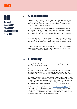## IFEXT

li i **It's really important to know exactly how many clients you've got."** 

### **2. Measurability**

To measure the success of your MTD strategy, you really need to know how many clients you've got – big or small. From now, you've got 6 months left for clients caught by MTD for VAT and 18 months for clients who'll need to meet the MTD for Income Tax requirements.

It's really important to know exactly how many clients you've got. First of all, if you don't know how many you've got, you won't know if you've been successful in speaking to all of them. Secondly, there could be serious implications for those you miss, souring your relationship and leading them to work with another firm.

Identifying the number of clients you need to contact and potentially work more closely with will also give you insight into your firm's capacity for MTD. Quarterly tax returns will reduce the end of year panic, but it will mean people will be working on them at a more regular cadence.

Clients might then expect more from your firm – which isn't necessarily an issue. Greater clarity over their finances will help them plan better for the future and avoid any unexpected surprises.

### **3. Visibility**

When you've identified the amount of clients you've got to speak to, you can start having fun with your approach.

This is by no means the only way, but think about gamifying the process of contacting your clients. Set monthly targets for the number of clients each team needs to reach and reward those who hit them. You'll soon see an uptake in results once an element of friendly competition is brought into play.

Think beyond the visibility of contacting clients too. Encourage team members to ask questions in an open forum about what the changes mean for your firm. It might be possible that they ask questions which clients have brought up to them directly and the firm needs to address. Being open with all sides here is an important way to make the transition to MTD as smooth as possible.

It's also a good idea to get into the habit of [collecting records digitally](https://dext.com/uk/accountants-and-bookkeepers/prepare) with your clients now. If you have a small number of clients who are already doing this, ask them for testimonials which you can share with clients who are reluctant to do so. The key metric here is to make all of the good work you're doing on behalf of your clients as visible as possible.